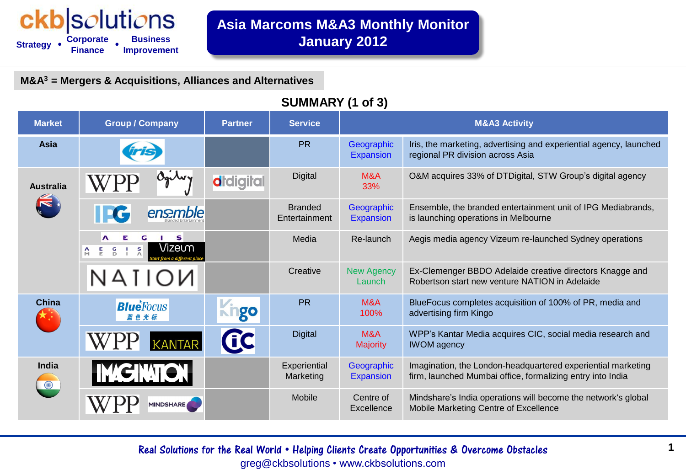#### ckb|solutions **Strategy • Corporate Business Finance Improvement • •**

**Asia Marcoms M&A3 Monthly Monitor January 2012**

**M&A<sup>3</sup> = Mergers & Acquisitions, Alliances and Alternatives**

#### **SUMMARY (1 of 3)**

| <b>Market</b>    | <b>Group / Company</b>                                                   | <b>Partner</b>   | <b>Service</b>                  | <b>M&amp;A3 Activity</b>       |                                                                                                                            |
|------------------|--------------------------------------------------------------------------|------------------|---------------------------------|--------------------------------|----------------------------------------------------------------------------------------------------------------------------|
| <b>Asia</b>      |                                                                          |                  | <b>PR</b>                       | Geographic<br><b>Expansion</b> | Iris, the marketing, advertising and experiential agency, launched<br>regional PR division across Asia                     |
| <b>Australia</b> |                                                                          | <b>d</b> digital | <b>Digital</b>                  | M&A<br>33%                     | O&M acquires 33% of DTDigital, STW Group's digital agency                                                                  |
|                  | ensemble                                                                 |                  | <b>Branded</b><br>Entertainment | Geographic<br><b>Expansion</b> | Ensemble, the branded entertainment unit of IPG Mediabrands,<br>is launching operations in Melbourne                       |
|                  | s<br>Λ<br>Vizeưm<br>$\mathbf{s}$<br>$\overline{a}$<br>톱<br>$\frac{1}{2}$ |                  | Media                           | Re-launch                      | Aegis media agency Vizeum re-launched Sydney operations                                                                    |
|                  | NAIIOИ                                                                   |                  | Creative                        | <b>New Agency</b><br>Launch    | Ex-Clemenger BBDO Adelaide creative directors Knagge and<br>Robertson start new venture NATION in Adelaide                 |
| <b>China</b>     | <b>Blue</b> Focus                                                        | go               | <b>PR</b>                       | M&A<br>100%                    | BlueFocus completes acquisition of 100% of PR, media and<br>advertising firm Kingo                                         |
|                  | <b>KANTAR</b>                                                            | GC               | <b>Digital</b>                  | M&A<br><b>Majority</b>         | WPP's Kantar Media acquires CIC, social media research and<br><b>IWOM</b> agency                                           |
| <b>India</b>     | <b>IMGINTOR</b>                                                          |                  | Experiential<br>Marketing       | Geographic<br><b>Expansion</b> | Imagination, the London-headquartered experiential marketing<br>firm, launched Mumbai office, formalizing entry into India |
|                  | <b>MINDSHARE</b>                                                         |                  | Mobile                          | Centre of<br>Excellence        | Mindshare's India operations will become the network's global<br>Mobile Marketing Centre of Excellence                     |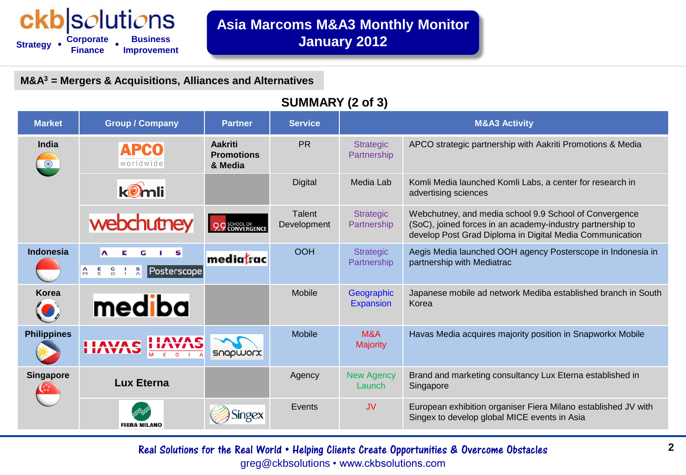# ckb|solutions

**Strategy Corporate Finance Improvement • • Business**

**M&A<sup>3</sup> = Mergers & Acquisitions, Alliances and Alternatives**

### **SUMMARY (2 of 3)**

| <b>Market</b>      | <b>Group / Company</b>                                                                                         | <b>Partner</b>                                 | <b>Service</b>               | <b>M&amp;A3 Activity</b>        |                                                                                                                                                                                  |
|--------------------|----------------------------------------------------------------------------------------------------------------|------------------------------------------------|------------------------------|---------------------------------|----------------------------------------------------------------------------------------------------------------------------------------------------------------------------------|
| <b>India</b>       | <b>APCO</b><br>worldwide                                                                                       | <b>Aakriti</b><br><b>Promotions</b><br>& Media | <b>PR</b>                    | <b>Strategic</b><br>Partnership | APCO strategic partnership with Aakriti Promotions & Media                                                                                                                       |
|                    | komli                                                                                                          |                                                | <b>Digital</b>               | Media Lab                       | Komli Media launched Komli Labs, a center for research in<br>advertising sciences                                                                                                |
|                    | webchutney                                                                                                     | 9.9 SCHOOL OF                                  | <b>Talent</b><br>Development | <b>Strategic</b><br>Partnership | Webchutney, and media school 9.9 School of Convergence<br>(SoC), joined forces in an academy-industry partnership to<br>develop Post Grad Diploma in Digital Media Communication |
| Indonesia          | $\mathbf{v}$<br>S<br>G<br>$\boldsymbol{\Lambda}$<br>$\frac{S}{\wedge}$<br>톱<br>G<br>Posterscope<br>$\Box$<br>M | mediatrac                                      | <b>OOH</b>                   | <b>Strategic</b><br>Partnership | Aegis Media launched OOH agency Posterscope in Indonesia in<br>partnership with Mediatrac                                                                                        |
| <b>Korea</b>       | mediba                                                                                                         |                                                | <b>Mobile</b>                | Geographic<br><b>Expansion</b>  | Japanese mobile ad network Mediba established branch in South<br>Korea                                                                                                           |
| <b>Philippines</b> | <b>HAVAS</b><br><b>IIAVAS</b>                                                                                  | snapworx                                       | <b>Mobile</b>                | M&A<br><b>Majority</b>          | Havas Media acquires majority position in Snapworkx Mobile                                                                                                                       |
| <b>Singapore</b>   | <b>Lux Eterna</b>                                                                                              |                                                | Agency                       | <b>New Agency</b><br>Launch     | Brand and marketing consultancy Lux Eterna established in<br>Singapore                                                                                                           |
|                    | <b>FIERA MILANO</b>                                                                                            | ngex                                           | Events                       | <b>JV</b>                       | European exhibition organiser Fiera Milano established JV with<br>Singex to develop global MICE events in Asia                                                                   |

**2** Real Solutions for the Real World • Helping Clients Create Opportunities & Overcome Obstacles greg@ckbsolutions • www.ckbsolutions.com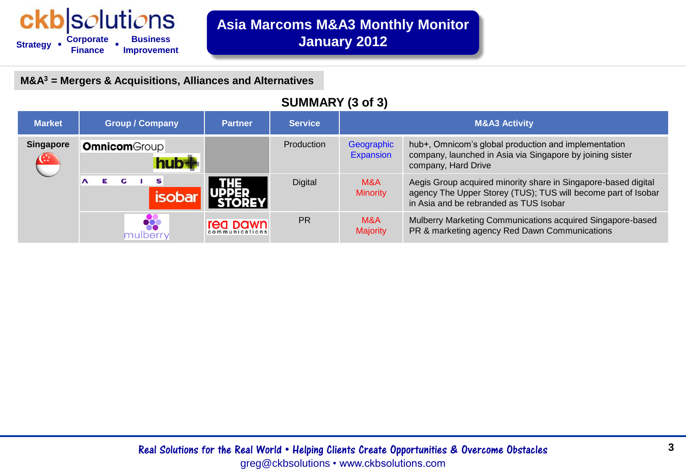#### ckb|solutions **Business Strategy Corporate Finance Improvement • •**

**M&A<sup>3</sup> = Mergers & Acquisitions, Alliances and Alternatives**

### **SUMMARY (3 of 3)**

| <b>Market</b>                    | <b>Group / Company</b> | <b>Partner</b>             | <b>Service</b> | <b>M&amp;A3 Activity</b> |                                                                                                                                                                           |
|----------------------------------|------------------------|----------------------------|----------------|--------------------------|---------------------------------------------------------------------------------------------------------------------------------------------------------------------------|
| <b>Singapore</b><br>$\mathbf{G}$ | <b>Omnicom</b> Group   |                            | Production     | Geographic<br>Expansion  | hub+, Omnicom's global production and implementation<br>company, launched in Asia via Singapore by joining sister<br>company, Hard Drive                                  |
|                                  | s                      |                            | <b>Digital</b> | M&A<br><b>Minority</b>   | Aegis Group acquired minority share in Singapore-based digital<br>agency The Upper Storey (TUS); TUS will become part of Isobar<br>in Asia and be rebranded as TUS Isobar |
|                                  | nulberr                | rea pawn<br>communications | <b>PR</b>      | M&A<br><b>Majority</b>   | Mulberry Marketing Communications acquired Singapore-based<br>PR & marketing agency Red Dawn Communications                                                               |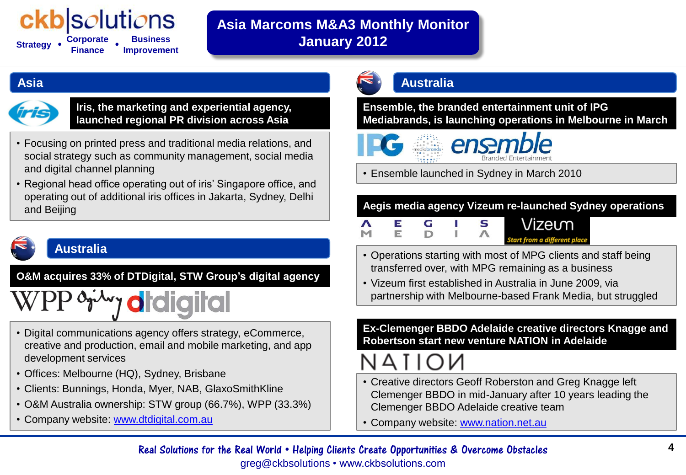## *solutions*

**Strategy • Corporate Finance Business Improvement • •**

## **Asia Marcoms M&A3 Monthly Monitor January 2012**

#### **[Asia](D:/CKB Solutions/Research/Asia - Marcoms - M&A/Presentation2.pptx)**



**Iris, the marketing and experiential agency, launched regional PR division across Asia**

- Focusing on printed press and traditional media relations, and social strategy such as community management, social media and digital channel planning
- Regional head office operating out of iris' Singapore office, and operating out of additional iris offices in Jakarta, Sydney, Delhi and Beijing

## **Australia**

**O&M acquires 33% of DTDigital, STW Group's digital agency** 

# <sup>0</sup> <sup>o</sup>r<sup>w</sup>y **o**rdigital

- Digital communications agency offers strategy, eCommerce, creative and production, email and mobile marketing, and app development services
- Offices: Melbourne (HQ), Sydney, Brisbane
- Clients: Bunnings, Honda, Myer, NAB, GlaxoSmithKline
- O&M Australia ownership: STW group (66.7%), WPP (33.3%)
- Company website: [www.dtdigital.com.au](http://www.dtdigital.com.au/)

## **Australia**

**Ensemble, the branded entertainment unit of IPG Mediabrands, is launching operations in Melbourne in March**





• Ensemble launched in Sydney in March 2010

#### **Aegis media agency Vizeum re-launched Sydney operations**

| Vizeum                            |  |  |  |
|-----------------------------------|--|--|--|
| <b>Start from a different plo</b> |  |  |  |

- Operations starting with most of MPG clients and staff being transferred over, with MPG remaining as a business
- Vizeum first established in Australia in June 2009, via partnership with Melbourne-based Frank Media, but struggled

**Ex-Clemenger BBDO Adelaide creative directors Knagge and Robertson start new venture NATION in Adelaide**

- Creative directors Geoff Roberston and Greg Knagge left Clemenger BBDO in mid-January after 10 years leading the Clemenger BBDO Adelaide creative team
- Company website: [www.nation.net.au](http://www.nation.net.au/)

#### **4** Real Solutions for the Real World • Helping Clients Create Opportunities & Overcome Obstacles greg@ckbsolutions • www.ckbsolutions.com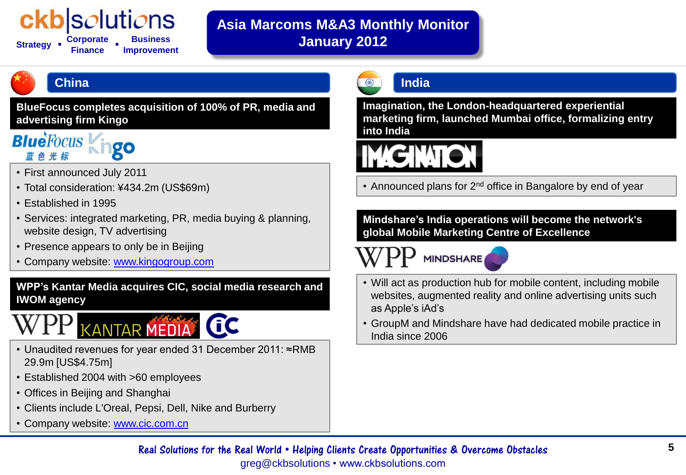## |s*o*luti*o*ns

**Strategy** • **Finance Business Improvement • •**

## **Asia Marcoms M&A3 Monthly Monitor January 2012**

## **China**

**BlueFocus completes acquisition of 100% of PR, media and advertising firm Kingo**



- First announced July 2011
- Total consideration: ¥434.2m (US\$69m)
- Established in 1995
- Services: integrated marketing, PR, media buying & planning, website design, TV advertising
- Presence appears to only be in Beijing
- Company website: [www.kingogroup.com](http://www.kingogroup.com/)

**WPP's Kantar Media acquires CIC, social media research and IWOM agency**

# KANTAR MEDIA CC

- Unaudited revenues for year ended 31 December 2011: ≈RMB 29.9m [US\$4.75m]
- Established 2004 with >60 employees
- Offices in Beijing and Shanghai
- Clients include L'Oreal, Pepsi, Dell, Nike and Burberry
- Company website: [www.cic.com.cn](http://www.cic.com.cn/)

## **India**

**Imagination, the London-headquartered experiential marketing firm, launched Mumbai office, formalizing entry into India**

# **IMIGINTON**

• Announced plans for 2<sup>nd</sup> office in Bangalore by end of year

**Mindshare's India operations will become the network's global Mobile Marketing Centre of Excellence**

**MINDSHARE** 

- Will act as production hub for mobile content, including mobile websites, augmented reality and online advertising units such as Apple's iAd's
- GroupM and Mindshare have had dedicated mobile practice in India since 2006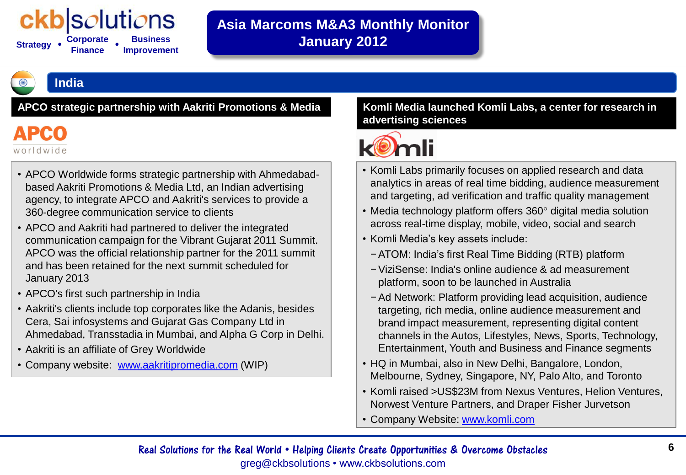## *o*luti*o*ns

**Strategy Finance Business Improvement • •**

## **Asia Marcoms M&A3 Monthly Monitor January 2012**

**India**

**APCO strategic partnership with Aakriti Promotions & Media Komli Media launched Komli Labs, a center for research in** 

**APCO** worldwide

- APCO Worldwide forms strategic partnership with Ahmedabadbased Aakriti Promotions & Media Ltd, an Indian advertising agency, to integrate APCO and Aakriti's services to provide a 360-degree communication service to clients
- APCO and Aakriti had partnered to deliver the integrated communication campaign for the Vibrant Gujarat 2011 Summit. APCO was the official relationship partner for the 2011 summit and has been retained for the next summit scheduled for January 2013
- APCO's first such partnership in India
- Aakriti's clients include top corporates like the Adanis, besides Cera, Sai infosystems and Gujarat Gas Company Ltd in Ahmedabad, Transstadia in Mumbai, and Alpha G Corp in Delhi.
- Aakriti is an affiliate of Grey Worldwide
- Company website: [www.aakritipromedia.com](http://www.aakritipromedia.com/) (WIP)

## **advertising sciences**



- Komli Labs primarily focuses on applied research and data analytics in areas of real time bidding, audience measurement and targeting, ad verification and traffic quality management
- Media technology platform offers 360° digital media solution across real-time display, mobile, video, social and search
- Komli Media's key assets include:
	- −ATOM: India's first Real Time Bidding (RTB) platform
	- −ViziSense: India's online audience & ad measurement platform, soon to be launched in Australia
	- −Ad Network: Platform providing lead acquisition, audience targeting, rich media, online audience measurement and brand impact measurement, representing digital content channels in the Autos, Lifestyles, News, Sports, Technology, Entertainment, Youth and Business and Finance segments
- HQ in Mumbai, also in New Delhi, Bangalore, London, Melbourne, Sydney, Singapore, NY, Palo Alto, and Toronto
- Komli raised >US\$23M from Nexus Ventures, Helion Ventures, Norwest Venture Partners, and Draper Fisher Jurvetson
- Company Website: [www.komli.com](http://www.komli.com/)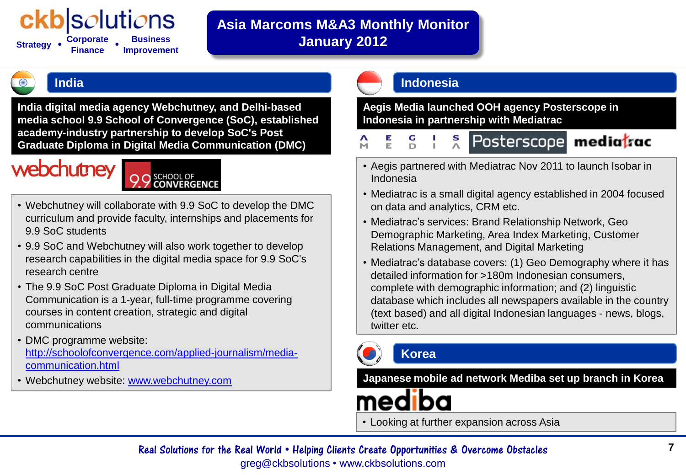## *solutions*

**Strategy Finance Business Improvement • •**

## **Asia Marcoms M&A3 Monthly Monitor January 2012**

**India digital media agency Webchutney, and Delhi-based media school 9.9 School of Convergence (SoC), established academy-industry partnership to develop SoC's Post Graduate Diploma in Digital Media Communication (DMC)**

## webchutney

- Webchutney will collaborate with 9.9 SoC to develop the DMC curriculum and provide faculty, internships and placements for 9.9 SoC students
- 9.9 SoC and Webchutney will also work together to develop research capabilities in the digital media space for 9.9 SoC's research centre
- The 9.9 SoC Post Graduate Diploma in Digital Media Communication is a 1-year, full-time programme covering courses in content creation, strategic and digital communications
- DMC programme website: [http://schoolofconvergence.com/applied-journalism/media](http://schoolofconvergence.com/applied-journalism/media-communication.html)[communication.html](http://schoolofconvergence.com/applied-journalism/media-communication.html)
- Webchutney website: [www.webchutney.com](http://www.webchutney.com/)

### **India Indonesia**

**Aegis Media launched OOH agency Posterscope in Indonesia in partnership with Mediatrac**

- Е  $\boldsymbol{\Lambda}$ S Posterscope mediatrac M
- Aegis partnered with Mediatrac Nov 2011 to launch Isobar in Indonesia
- Mediatrac is a small digital agency established in 2004 focused on data and analytics, CRM etc.
- Mediatrac's services: Brand Relationship Network, Geo Demographic Marketing, Area Index Marketing, Customer Relations Management, and Digital Marketing
- Mediatrac's database covers: (1) Geo Demography where it has detailed information for >180m Indonesian consumers, complete with demographic information; and (2) linguistic database which includes all newspapers available in the country (text based) and all digital Indonesian languages - news, blogs, twitter etc.



### **Korea**

**Japanese mobile ad network Mediba set up branch in Korea**

• Looking at further expansion across Asia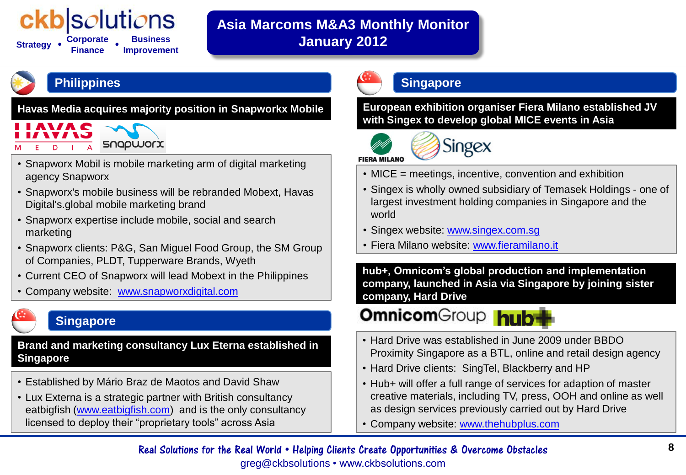## *solutions*

**Strategy Corporate Finance Business Improvement • •**

## **Asia Marcoms M&A3 Monthly Monitor January 2012**

## **Philippines**

**Havas Media acquires majority position in Snapworkx Mobile**

# SNOPWORX

- Snapworx Mobil is mobile marketing arm of digital marketing agency Snapworx
- Snapworx's mobile business will be rebranded Mobext, Havas Digital's.global mobile marketing brand
- Snapworx expertise include mobile, social and search marketing
- Snapworx clients: P&G, San Miguel Food Group, the SM Group of Companies, PLDT, Tupperware Brands, Wyeth
- Current CEO of Snapworx will lead Mobext in the Philippines
- Company website: [www.snapworxdigital.com](http://www.snapworxdigital.com/)

## **Singapore**

**Brand and marketing consultancy Lux Eterna established in Singapore**

- Established by Mário Braz de Maotos and David Shaw
- Lux Externa is a strategic partner with British consultancy eatbigfish [\(www.eatbigfish.com](http://www.eatbigfish.com/)) and is the only consultancy licensed to deploy their "proprietary tools" across Asia

## **Singapore**

**European exhibition organiser Fiera Milano established JV with Singex to develop global MICE events in Asia**





- MICE = meetings, incentive, convention and exhibition
- Singex is wholly owned subsidiary of Temasek Holdings one of largest investment holding companies in Singapore and the world
- Singex website: [www.singex.com.sg](http://www.singex.com.sg/)
- Fiera Milano website: [www.fieramilano.it](http://www.fieramilano.it/)

**hub+, Omnicom's global production and implementation company, launched in Asia via Singapore by joining sister company, Hard Drive**

## **Omnicom**Group hub

- Hard Drive was established in June 2009 under BBDO Proximity Singapore as a BTL, online and retail design agency
- Hard Drive clients: SingTel, Blackberry and HP
- Hub+ will offer a full range of services for adaption of master creative materials, including TV, press, OOH and online as well as design services previously carried out by Hard Drive
- Company website: [www.thehubplus.com](http://www.thehubplus.com/)

#### **8** Real Solutions for the Real World • Helping Clients Create Opportunities & Overcome Obstacles greg@ckbsolutions • www.ckbsolutions.com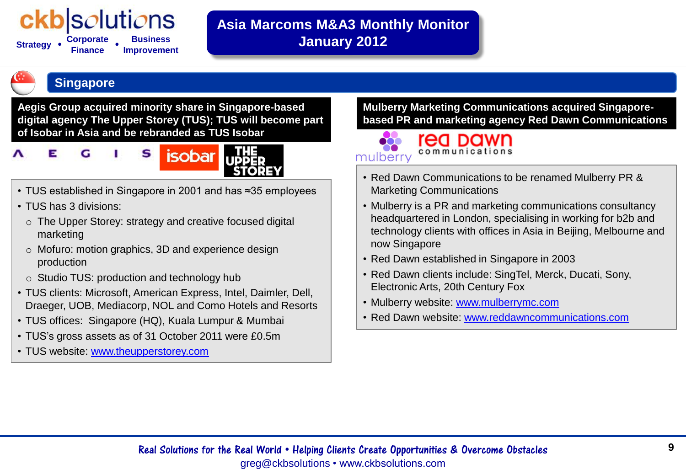## bluti*o*ns

**Strategy Finance Business Improvement • •**

## **Asia Marcoms M&A3 Monthly Monitor January 2012**

#### **Singapore**

**Aegis Group acquired minority share in Singapore-based digital agency The Upper Storey (TUS); TUS will become part of Isobar in Asia and be rebranded as TUS Isobar**

#### S F **isobar** G

- TUS established in Singapore in 2001 and has ≈35 employees
- TUS has 3 divisions:
	- o The Upper Storey: strategy and creative focused digital marketing
	- o Mofuro: motion graphics, 3D and experience design production
	- o Studio TUS: production and technology hub
- TUS clients: Microsoft, American Express, Intel, Daimler, Dell, Draeger, UOB, Mediacorp, NOL and Como Hotels and Resorts
- TUS offices: Singapore (HQ), Kuala Lumpur & Mumbai
- TUS's gross assets as of 31 October 2011 were £0.5m
- TUS website: [www.theupperstorey.com](http://www.theupperstorey.com/)

**Mulberry Marketing Communications acquired Singaporebased PR and marketing agency Red Dawn Communications**



- Red Dawn Communications to be renamed Mulberry PR & Marketing Communications
- Mulberry is a PR and marketing communications consultancy headquartered in London, specialising in working for b2b and technology clients with offices in Asia in Beijing, Melbourne and now Singapore
- Red Dawn established in Singapore in 2003
- Red Dawn clients include: SingTel, Merck, Ducati, Sony, Electronic Arts, 20th Century Fox
- Mulberry website: [www.mulberrymc.com](http://www.mulberrymc.com/)
- Red Dawn website: [www.reddawncommunications.com](http://www.reddawncommunications.com/)